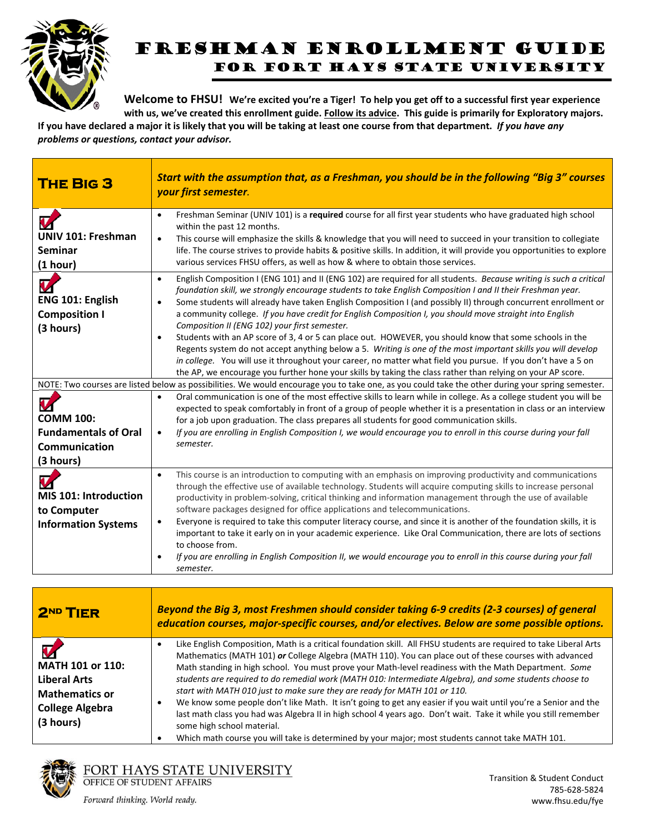

## Freshman ENROLLMENT GUIDE FOR FORT HAYS STATE UNIVERSITY

Welcome to FHSU! We're excited you're a Tiger! To help you get off to a successful first year experience with us, we've created this enrollment guide. Follow its advice. This guide is primarily for Exploratory majors.

If you have declared a major it is likely that you will be taking at least one course from that department. If you have any *problems or questions, contact your advisor.*

| <b>THE BIG 3</b>                                                                   | Start with the assumption that, as a Freshman, you should be in the following "Big 3" courses<br>your first semester.                                                                                                                                                                                                                                                                                                                                                                                                                                                                                                                                                                                                                                                                                                                                                                                                                                                                                                                                                                                                                                                   |
|------------------------------------------------------------------------------------|-------------------------------------------------------------------------------------------------------------------------------------------------------------------------------------------------------------------------------------------------------------------------------------------------------------------------------------------------------------------------------------------------------------------------------------------------------------------------------------------------------------------------------------------------------------------------------------------------------------------------------------------------------------------------------------------------------------------------------------------------------------------------------------------------------------------------------------------------------------------------------------------------------------------------------------------------------------------------------------------------------------------------------------------------------------------------------------------------------------------------------------------------------------------------|
| U<br><b>UNIV 101: Freshman</b><br><b>Seminar</b><br>(1 hour)                       | Freshman Seminar (UNIV 101) is a required course for all first year students who have graduated high school<br>$\bullet$<br>within the past 12 months.<br>This course will emphasize the skills & knowledge that you will need to succeed in your transition to collegiate<br>$\bullet$<br>life. The course strives to provide habits & positive skills. In addition, it will provide you opportunities to explore<br>various services FHSU offers, as well as how & where to obtain those services.                                                                                                                                                                                                                                                                                                                                                                                                                                                                                                                                                                                                                                                                    |
| $\boldsymbol{v}$<br>ENG 101: English<br><b>Composition I</b><br>(3 hours)          | English Composition I (ENG 101) and II (ENG 102) are required for all students. Because writing is such a critical<br>$\bullet$<br>foundation skill, we strongly encourage students to take English Composition I and II their Freshman year.<br>Some students will already have taken English Composition I (and possibly II) through concurrent enrollment or<br>$\bullet$<br>a community college. If you have credit for English Composition I, you should move straight into English<br>Composition II (ENG 102) your first semester.<br>Students with an AP score of 3, 4 or 5 can place out. HOWEVER, you should know that some schools in the<br>$\bullet$<br>Regents system do not accept anything below a 5. Writing is one of the most important skills you will develop<br>in college. You will use it throughout your career, no matter what field you pursue. If you don't have a 5 on<br>the AP, we encourage you further hone your skills by taking the class rather than relying on your AP score.<br>NOTE: Two courses are listed below as possibilities. We would encourage you to take one, as you could take the other during your spring semester. |
| V<br><b>COMM 100:</b><br><b>Fundamentals of Oral</b><br>Communication<br>(3 hours) | Oral communication is one of the most effective skills to learn while in college. As a college student you will be<br>$\bullet$<br>expected to speak comfortably in front of a group of people whether it is a presentation in class or an interview<br>for a job upon graduation. The class prepares all students for good communication skills.<br>If you are enrolling in English Composition I, we would encourage you to enroll in this course during your fall<br>$\bullet$<br>semester.                                                                                                                                                                                                                                                                                                                                                                                                                                                                                                                                                                                                                                                                          |
| MIS 101: Introduction<br>to Computer<br><b>Information Systems</b>                 | This course is an introduction to computing with an emphasis on improving productivity and communications<br>$\bullet$<br>through the effective use of available technology. Students will acquire computing skills to increase personal<br>productivity in problem-solving, critical thinking and information management through the use of available<br>software packages designed for office applications and telecommunications.<br>Everyone is required to take this computer literacy course, and since it is another of the foundation skills, it is<br>$\bullet$<br>important to take it early on in your academic experience. Like Oral Communication, there are lots of sections<br>to choose from.<br>If you are enrolling in English Composition II, we would encourage you to enroll in this course during your fall<br>$\bullet$<br>semester.                                                                                                                                                                                                                                                                                                             |

| 2ND TIER                                                                                                | Beyond the Big 3, most Freshmen should consider taking 6-9 credits (2-3 courses) of general<br>education courses, major-specific courses, and/or electives. Below are some possible options.                                                                                                                                                                                                                                                                                                                                                                                                                                                                                                                                                                                                                                                                                                                       |
|---------------------------------------------------------------------------------------------------------|--------------------------------------------------------------------------------------------------------------------------------------------------------------------------------------------------------------------------------------------------------------------------------------------------------------------------------------------------------------------------------------------------------------------------------------------------------------------------------------------------------------------------------------------------------------------------------------------------------------------------------------------------------------------------------------------------------------------------------------------------------------------------------------------------------------------------------------------------------------------------------------------------------------------|
| MATH 101 or 110:<br><b>Liberal Arts</b><br><b>Mathematics or</b><br><b>College Algebra</b><br>(3 hours) | Like English Composition, Math is a critical foundation skill. All FHSU students are required to take Liberal Arts<br>Mathematics (MATH 101) or College Algebra (MATH 110). You can place out of these courses with advanced<br>Math standing in high school. You must prove your Math-level readiness with the Math Department. Some<br>students are required to do remedial work (MATH 010: Intermediate Algebra), and some students choose to<br>start with MATH 010 just to make sure they are ready for MATH 101 or 110.<br>We know some people don't like Math. It isn't going to get any easier if you wait until you're a Senior and the<br>last math class you had was Algebra II in high school 4 years ago. Don't wait. Take it while you still remember<br>some high school material.<br>Which math course you will take is determined by your major; most students cannot take MATH 101.<br>$\bullet$ |



FORT HAYS STATE UNIVERSITY<br>OFFICE OF STUDENT AFFAIRS

Forward thinking. World ready.